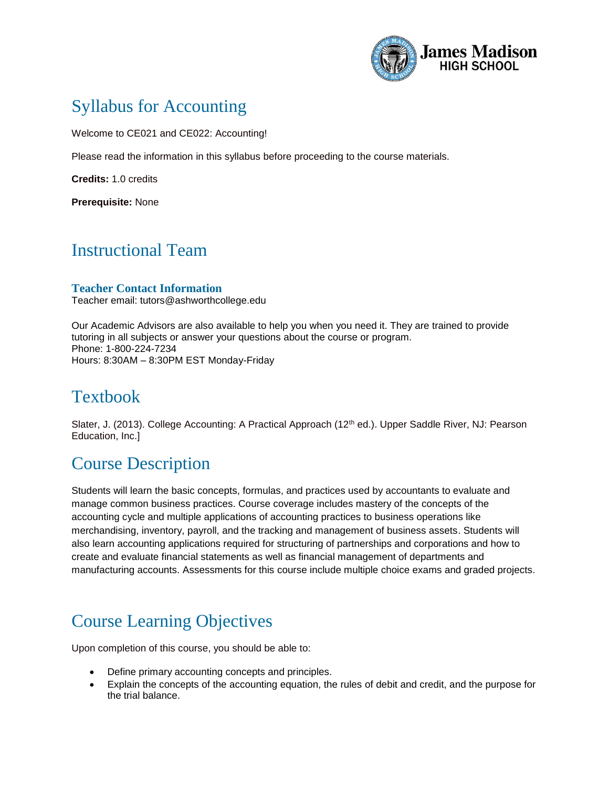

# Syllabus for Accounting

Welcome to CE021 and CE022: Accounting!

Please read the information in this syllabus before proceeding to the course materials.

**Credits:** 1.0 credits

**Prerequisite:** None

# Instructional Team

#### **Teacher Contact Information**

Teacher email: tutors@ashworthcollege.edu

Our Academic Advisors are also available to help you when you need it. They are trained to provide tutoring in all subjects or answer your questions about the course or program. Phone: 1-800-224-7234 Hours: 8:30AM – 8:30PM EST Monday-Friday

# Textbook

Slater, J. (2013). College Accounting: A Practical Approach (12<sup>th</sup> ed.). Upper Saddle River, NJ: Pearson Education, Inc.]

# Course Description

Students will learn the basic concepts, formulas, and practices used by accountants to evaluate and manage common business practices. Course coverage includes mastery of the concepts of the accounting cycle and multiple applications of accounting practices to business operations like merchandising, inventory, payroll, and the tracking and management of business assets. Students will also learn accounting applications required for structuring of partnerships and corporations and how to create and evaluate financial statements as well as financial management of departments and manufacturing accounts. Assessments for this course include multiple choice exams and graded projects.

# Course Learning Objectives

Upon completion of this course, you should be able to:

- Define primary accounting concepts and principles.
- Explain the concepts of the accounting equation, the rules of debit and credit, and the purpose for the trial balance.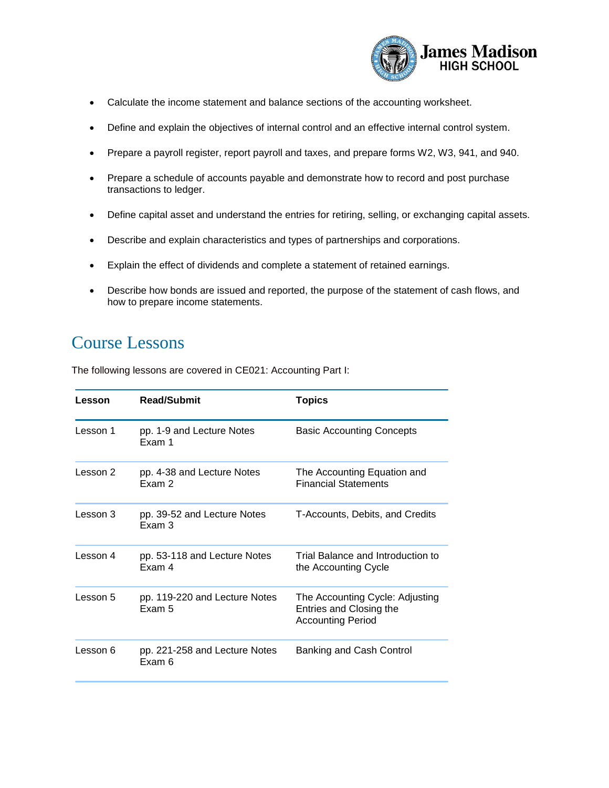

- Calculate the income statement and balance sections of the accounting worksheet.
- Define and explain the objectives of internal control and an effective internal control system.
- Prepare a payroll register, report payroll and taxes, and prepare forms W2, W3, 941, and 940.
- Prepare a schedule of accounts payable and demonstrate how to record and post purchase transactions to ledger.
- Define capital asset and understand the entries for retiring, selling, or exchanging capital assets.
- Describe and explain characteristics and types of partnerships and corporations.
- Explain the effect of dividends and complete a statement of retained earnings.
- Describe how bonds are issued and reported, the purpose of the statement of cash flows, and how to prepare income statements.

#### Course Lessons

The following lessons are covered in CE021: Accounting Part I:

| Lesson   | <b>Read/Submit</b>                      | <b>Topics</b>                                                                          |
|----------|-----------------------------------------|----------------------------------------------------------------------------------------|
| Lesson 1 | pp. 1-9 and Lecture Notes<br>Exam 1     | <b>Basic Accounting Concepts</b>                                                       |
| Lesson 2 | pp. 4-38 and Lecture Notes<br>Fxam 2    | The Accounting Equation and<br><b>Financial Statements</b>                             |
| Lesson 3 | pp. 39-52 and Lecture Notes<br>Exam 3   | T-Accounts, Debits, and Credits                                                        |
| Lesson 4 | pp. 53-118 and Lecture Notes<br>Exam 4  | Trial Balance and Introduction to<br>the Accounting Cycle                              |
| Lesson 5 | pp. 119-220 and Lecture Notes<br>Exam 5 | The Accounting Cycle: Adjusting<br>Entries and Closing the<br><b>Accounting Period</b> |
| Lesson 6 | pp. 221-258 and Lecture Notes<br>Exam 6 | Banking and Cash Control                                                               |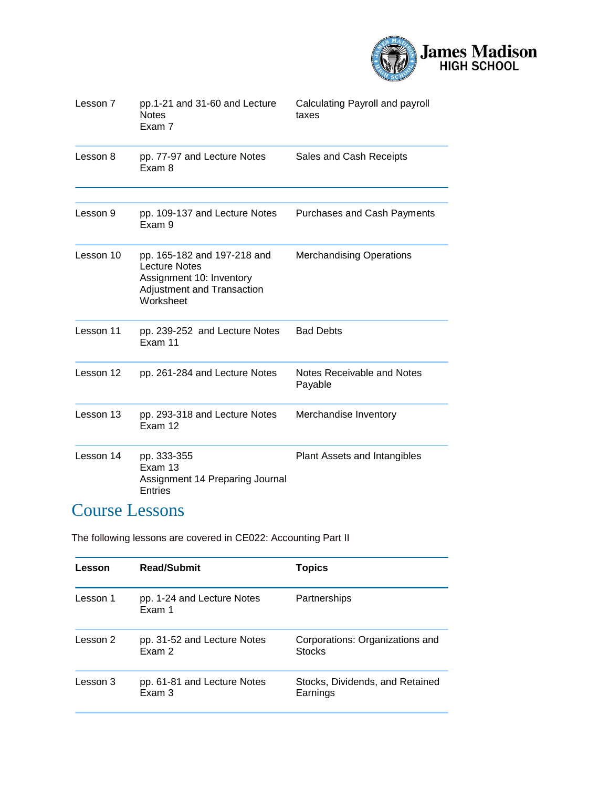

| Lesson 7  | pp.1-21 and 31-60 and Lecture<br><b>Notes</b><br>Exam 7                                                                    | Calculating Payroll and payroll<br>taxes |
|-----------|----------------------------------------------------------------------------------------------------------------------------|------------------------------------------|
| Lesson 8  | pp. 77-97 and Lecture Notes<br>Exam 8                                                                                      | Sales and Cash Receipts                  |
| Lesson 9  | pp. 109-137 and Lecture Notes<br>Exam 9                                                                                    | <b>Purchases and Cash Payments</b>       |
| Lesson 10 | pp. 165-182 and 197-218 and<br><b>Lecture Notes</b><br>Assignment 10: Inventory<br>Adjustment and Transaction<br>Worksheet | <b>Merchandising Operations</b>          |
| Lesson 11 | pp. 239-252 and Lecture Notes<br>Exam 11                                                                                   | <b>Bad Debts</b>                         |
| Lesson 12 | pp. 261-284 and Lecture Notes                                                                                              | Notes Receivable and Notes<br>Payable    |
| Lesson 13 | pp. 293-318 and Lecture Notes<br>Exam 12                                                                                   | Merchandise Inventory                    |
| Lesson 14 | pp. 333-355<br>Exam 13<br>Assignment 14 Preparing Journal<br>Entries                                                       | Plant Assets and Intangibles             |

# Course Lessons

The following lessons are covered in CE022: Accounting Part II

| Lesson   | <b>Read/Submit</b>                    | <b>Topics</b>                                    |
|----------|---------------------------------------|--------------------------------------------------|
| Lesson 1 | pp. 1-24 and Lecture Notes<br>Exam 1  | Partnerships                                     |
| Lesson 2 | pp. 31-52 and Lecture Notes<br>Exam 2 | Corporations: Organizations and<br><b>Stocks</b> |
| Lesson 3 | pp. 61-81 and Lecture Notes<br>Exam 3 | Stocks, Dividends, and Retained<br>Earnings      |